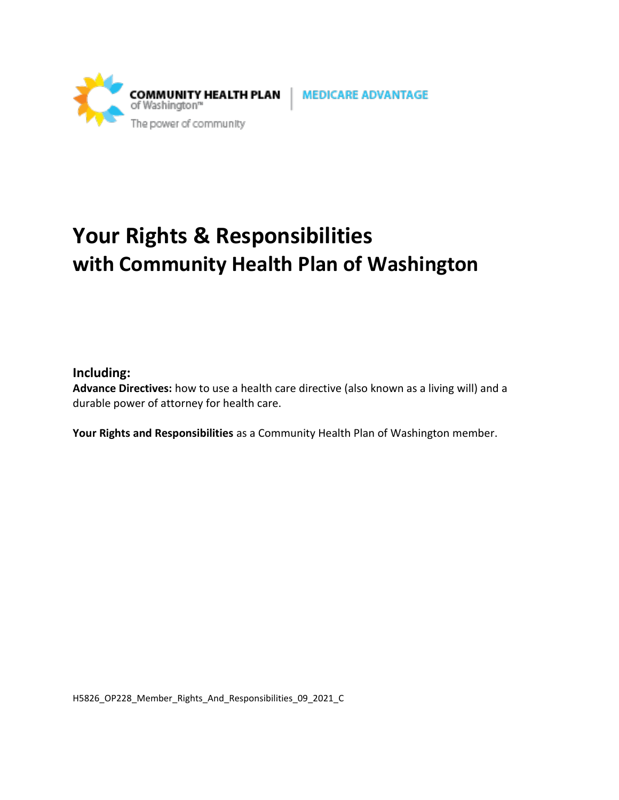

# **Your Rights & Responsibilities with Community Health Plan of Washington**

### **Including:**

**Advance Directives:** how to use a health care directive (also known as a living will) and a durable power of attorney for health care.

**Your Rights and Responsibilities** as a Community Health Plan of Washington member.

H5826\_OP228\_Member\_Rights\_And\_Responsibilities\_09\_2021\_C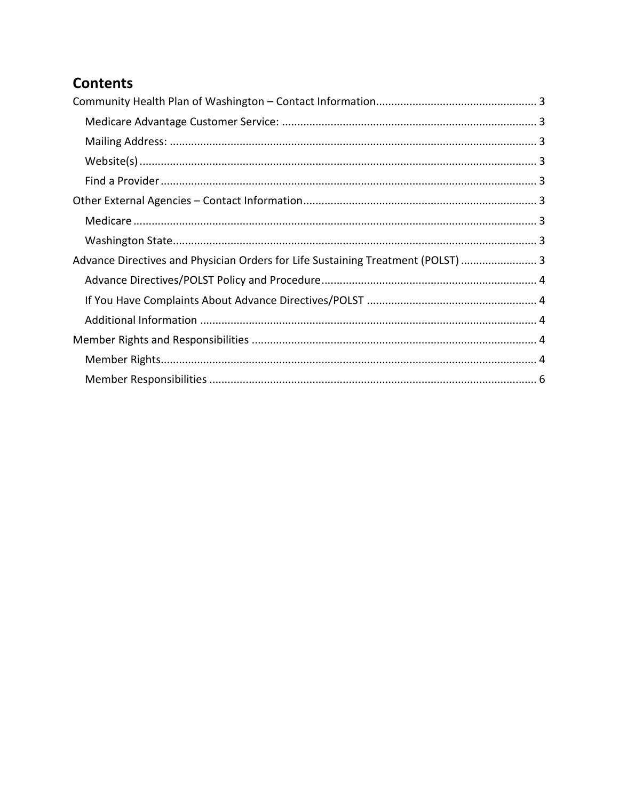# **Contents**

| Advance Directives and Physician Orders for Life Sustaining Treatment (POLST)  3 |  |
|----------------------------------------------------------------------------------|--|
|                                                                                  |  |
|                                                                                  |  |
|                                                                                  |  |
|                                                                                  |  |
|                                                                                  |  |
|                                                                                  |  |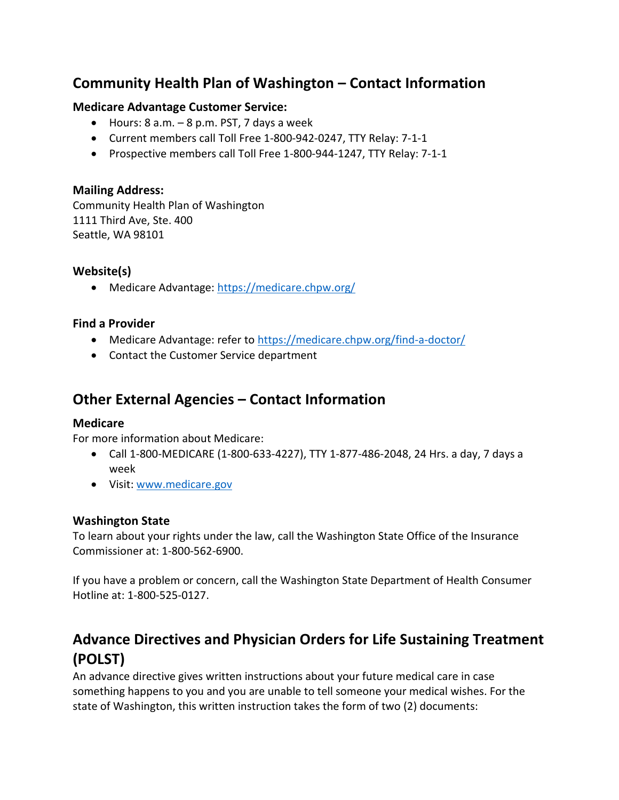# <span id="page-2-0"></span>**Community Health Plan of Washington – Contact Information**

#### <span id="page-2-1"></span>**Medicare Advantage Customer Service:**

- Hours:  $8$  a.m.  $-8$  p.m. PST,  $7$  days a week
- Current members call Toll Free 1-800-942-0247, TTY Relay: 7-1-1
- Prospective members call Toll Free 1-800-944-1247, TTY Relay: 7-1-1

#### <span id="page-2-2"></span>**Mailing Address:**

Community Health Plan of Washington 1111 Third Ave, Ste. 400 Seattle, WA 98101

#### <span id="page-2-3"></span>**Website(s)**

• Medicare Advantage:<https://medicare.chpw.org/>

#### <span id="page-2-4"></span>**Find a Provider**

- Medicare Advantage: refer to<https://medicare.chpw.org/find-a-doctor/>
- Contact the Customer Service department

# <span id="page-2-5"></span>**Other External Agencies – Contact Information**

#### <span id="page-2-6"></span>**Medicare**

For more information about Medicare:

- Call 1-800-MEDICARE (1-800-633-4227), TTY 1-877-486-2048, 24 Hrs. a day, 7 days a week
- Visit: [www.medicare.gov](http://www.medicare.gov/)

#### <span id="page-2-7"></span>**Washington State**

To learn about your rights under the law, call the Washington State Office of the Insurance Commissioner at: 1-800-562-6900.

If you have a problem or concern, call the Washington State Department of Health Consumer Hotline at: 1-800-525-0127.

# <span id="page-2-8"></span>**Advance Directives and Physician Orders for Life Sustaining Treatment (POLST)**

An advance directive gives written instructions about your future medical care in case something happens to you and you are unable to tell someone your medical wishes. For the state of Washington, this written instruction takes the form of two (2) documents: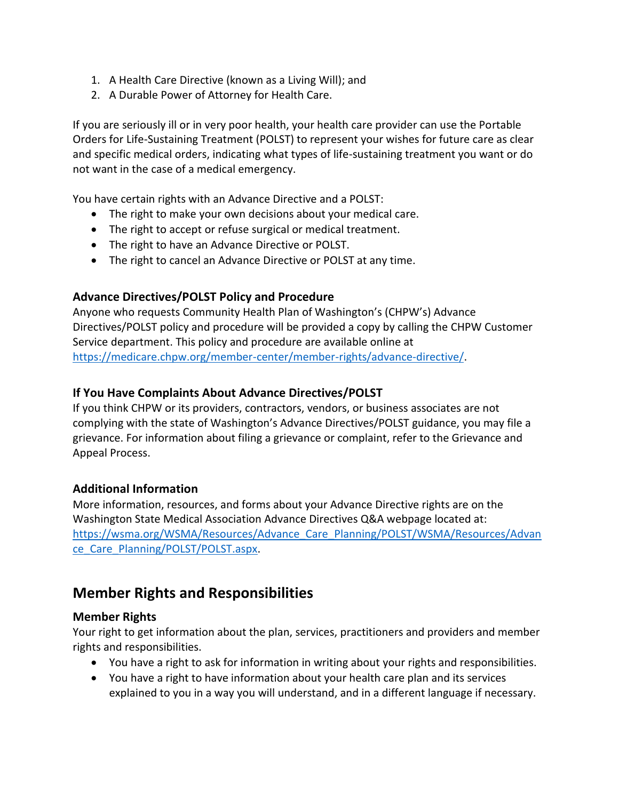- 1. A Health Care Directive (known as a Living Will); and
- 2. A Durable Power of Attorney for Health Care.

If you are seriously ill or in very poor health, your health care provider can use the Portable Orders for Life-Sustaining Treatment (POLST) to represent your wishes for future care as clear and specific medical orders, indicating what types of life-sustaining treatment you want or do not want in the case of a medical emergency.

You have certain rights with an Advance Directive and a POLST:

- The right to make your own decisions about your medical care.
- The right to accept or refuse surgical or medical treatment.
- The right to have an Advance Directive or POLST.
- The right to cancel an Advance Directive or POLST at any time.

### <span id="page-3-0"></span>**Advance Directives/POLST Policy and Procedure**

Anyone who requests Community Health Plan of Washington's (CHPW's) Advance Directives/POLST policy and procedure will be provided a copy by calling the CHPW Customer Service department. This policy and procedure are available online at [https://medicare.chpw.org/member-center/member-rights/advance-directive/.](https://medicare.chpw.org/member-center/member-rights/advance-directive/)

### <span id="page-3-1"></span>**If You Have Complaints About Advance Directives/POLST**

If you think CHPW or its providers, contractors, vendors, or business associates are not complying with the state of Washington's Advance Directives/POLST guidance, you may file a grievance. For information about filing a grievance or complaint, refer to the Grievance and Appeal Process.

### <span id="page-3-2"></span>**Additional Information**

More information, resources, and forms about your Advance Directive rights are on the Washington State Medical Association Advance Directives Q&A webpage located at: [https://wsma.org/WSMA/Resources/Advance\\_Care\\_Planning/POLST/WSMA/Resources/Advan](https://wsma.org/WSMA/Resources/Advance_Care_Planning/POLST/WSMA/Resources/Advance_Care_Planning/POLST/POLST.aspx) [ce\\_Care\\_Planning/POLST/POLST.aspx.](https://wsma.org/WSMA/Resources/Advance_Care_Planning/POLST/WSMA/Resources/Advance_Care_Planning/POLST/POLST.aspx)

### <span id="page-3-3"></span>**Member Rights and Responsibilities**

#### <span id="page-3-4"></span>**Member Rights**

Your right to get information about the plan, services, practitioners and providers and member rights and responsibilities.

- You have a right to ask for information in writing about your rights and responsibilities.
- You have a right to have information about your health care plan and its services explained to you in a way you will understand, and in a different language if necessary.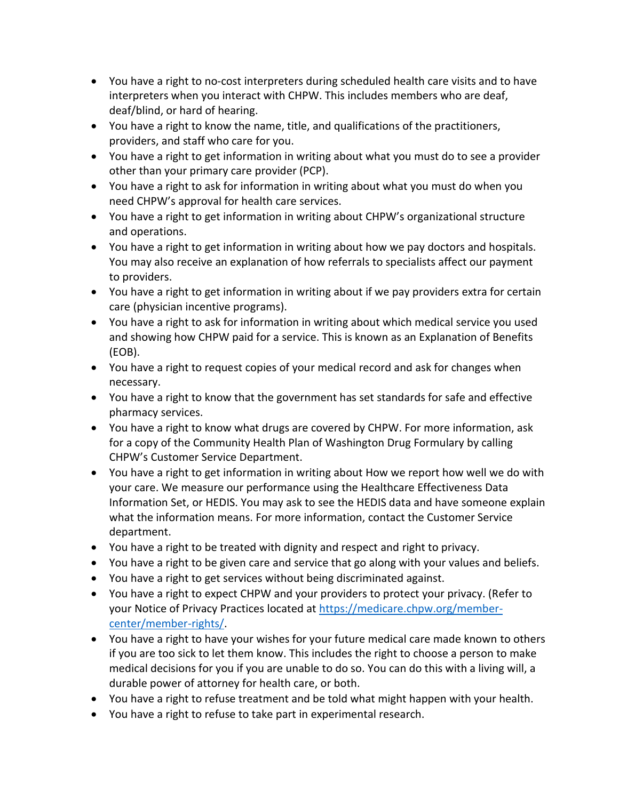- You have a right to no‐cost interpreters during scheduled health care visits and to have interpreters when you interact with CHPW. This includes members who are deaf, deaf/blind, or hard of hearing.
- You have a right to know the name, title, and qualifications of the practitioners, providers, and staff who care for you.
- You have a right to get information in writing about what you must do to see a provider other than your primary care provider (PCP).
- You have a right to ask for information in writing about what you must do when you need CHPW's approval for health care services.
- You have a right to get information in writing about CHPW's organizational structure and operations.
- You have a right to get information in writing about how we pay doctors and hospitals. You may also receive an explanation of how referrals to specialists affect our payment to providers.
- You have a right to get information in writing about if we pay providers extra for certain care (physician incentive programs).
- You have a right to ask for information in writing about which medical service you used and showing how CHPW paid for a service. This is known as an Explanation of Benefits (EOB).
- You have a right to request copies of your medical record and ask for changes when necessary.
- You have a right to know that the government has set standards for safe and effective pharmacy services.
- You have a right to know what drugs are covered by CHPW. For more information, ask for a copy of the Community Health Plan of Washington Drug Formulary by calling CHPW's Customer Service Department.
- You have a right to get information in writing about How we report how well we do with your care. We measure our performance using the Healthcare Effectiveness Data Information Set, or HEDIS. You may ask to see the HEDIS data and have someone explain what the information means. For more information, contact the Customer Service department.
- You have a right to be treated with dignity and respect and right to privacy.
- You have a right to be given care and service that go along with your values and beliefs.
- You have a right to get services without being discriminated against.
- You have a right to expect CHPW and your providers to protect your privacy. (Refer to your Notice of Privacy Practices located at [https://medicare.chpw.org/member](https://medicare.chpw.org/member-center/member-rights/)[center/member-rights/.](https://medicare.chpw.org/member-center/member-rights/)
- You have a right to have your wishes for your future medical care made known to others if you are too sick to let them know. This includes the right to choose a person to make medical decisions for you if you are unable to do so. You can do this with a living will, a durable power of attorney for health care, or both.
- You have a right to refuse treatment and be told what might happen with your health.
- You have a right to refuse to take part in experimental research.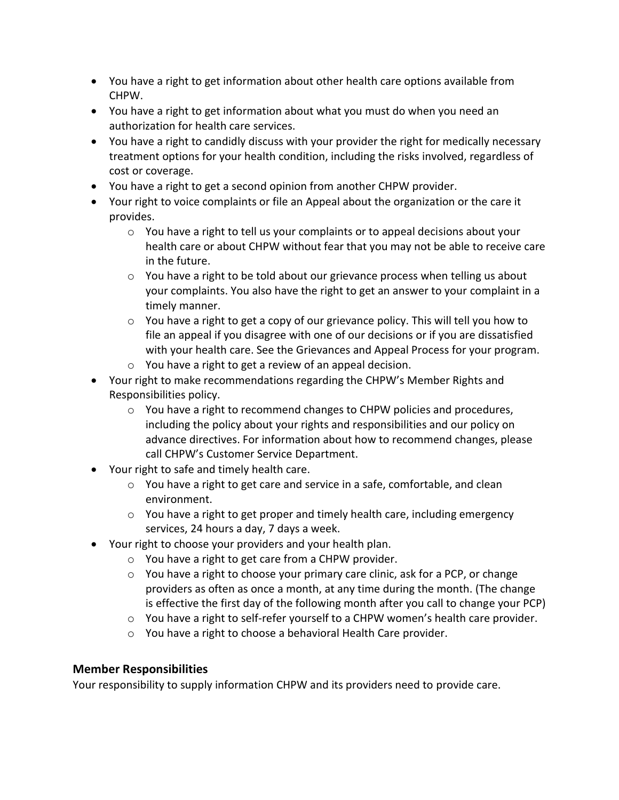- You have a right to get information about other health care options available from CHPW.
- You have a right to get information about what you must do when you need an authorization for health care services.
- You have a right to candidly discuss with your provider the right for medically necessary treatment options for your health condition, including the risks involved, regardless of cost or coverage.
- You have a right to get a second opinion from another CHPW provider.
- Your right to voice complaints or file an Appeal about the organization or the care it provides.
	- $\circ$  You have a right to tell us your complaints or to appeal decisions about your health care or about CHPW without fear that you may not be able to receive care in the future.
	- $\circ$  You have a right to be told about our grievance process when telling us about your complaints. You also have the right to get an answer to your complaint in a timely manner.
	- $\circ$  You have a right to get a copy of our grievance policy. This will tell you how to file an appeal if you disagree with one of our decisions or if you are dissatisfied with your health care. See the Grievances and Appeal Process for your program.
	- o You have a right to get a review of an appeal decision.
- Your right to make recommendations regarding the CHPW's Member Rights and Responsibilities policy.
	- $\circ$  You have a right to recommend changes to CHPW policies and procedures, including the policy about your rights and responsibilities and our policy on advance directives. For information about how to recommend changes, please call CHPW's Customer Service Department.
- Your right to safe and timely health care.
	- o You have a right to get care and service in a safe, comfortable, and clean environment.
	- o You have a right to get proper and timely health care, including emergency services, 24 hours a day, 7 days a week.
- Your right to choose your providers and your health plan.
	- o You have a right to get care from a CHPW provider.
		- $\circ$  You have a right to choose your primary care clinic, ask for a PCP, or change providers as often as once a month, at any time during the month. (The change is effective the first day of the following month after you call to change your PCP)
		- $\circ$  You have a right to self-refer yourself to a CHPW women's health care provider.
		- o You have a right to choose a behavioral Health Care provider.

#### <span id="page-5-0"></span>**Member Responsibilities**

Your responsibility to supply information CHPW and its providers need to provide care.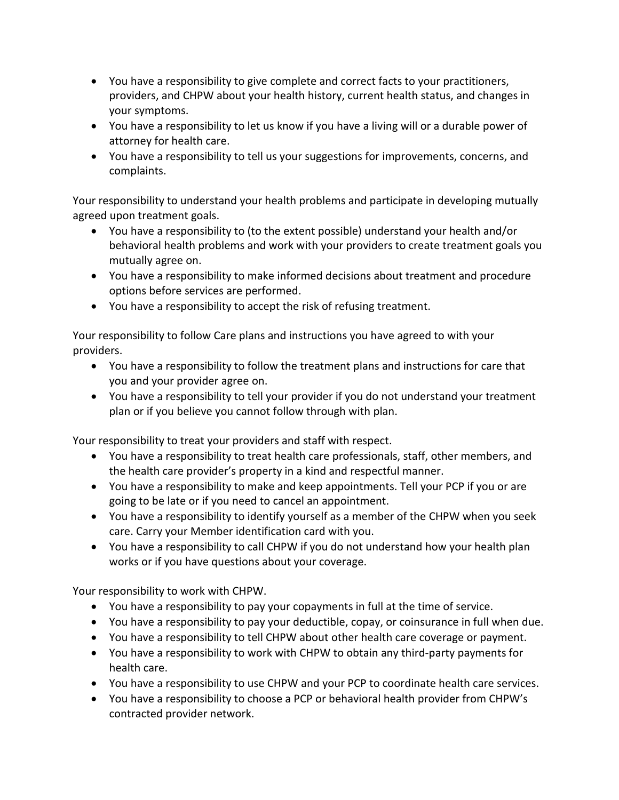- You have a responsibility to give complete and correct facts to your practitioners, providers, and CHPW about your health history, current health status, and changes in your symptoms.
- You have a responsibility to let us know if you have a living will or a durable power of attorney for health care.
- You have a responsibility to tell us your suggestions for improvements, concerns, and complaints.

Your responsibility to understand your health problems and participate in developing mutually agreed upon treatment goals.

- You have a responsibility to (to the extent possible) understand your health and/or behavioral health problems and work with your providers to create treatment goals you mutually agree on.
- You have a responsibility to make informed decisions about treatment and procedure options before services are performed.
- You have a responsibility to accept the risk of refusing treatment.

Your responsibility to follow Care plans and instructions you have agreed to with your providers.

- You have a responsibility to follow the treatment plans and instructions for care that you and your provider agree on.
- You have a responsibility to tell your provider if you do not understand your treatment plan or if you believe you cannot follow through with plan.

Your responsibility to treat your providers and staff with respect.

- You have a responsibility to treat health care professionals, staff, other members, and the health care provider's property in a kind and respectful manner.
- You have a responsibility to make and keep appointments. Tell your PCP if you or are going to be late or if you need to cancel an appointment.
- You have a responsibility to identify yourself as a member of the CHPW when you seek care. Carry your Member identification card with you.
- You have a responsibility to call CHPW if you do not understand how your health plan works or if you have questions about your coverage.

Your responsibility to work with CHPW.

- You have a responsibility to pay your copayments in full at the time of service.
- You have a responsibility to pay your deductible, copay, or coinsurance in full when due.
- You have a responsibility to tell CHPW about other health care coverage or payment.
- You have a responsibility to work with CHPW to obtain any third-party payments for health care.
- You have a responsibility to use CHPW and your PCP to coordinate health care services.
- You have a responsibility to choose a PCP or behavioral health provider from CHPW's contracted provider network.